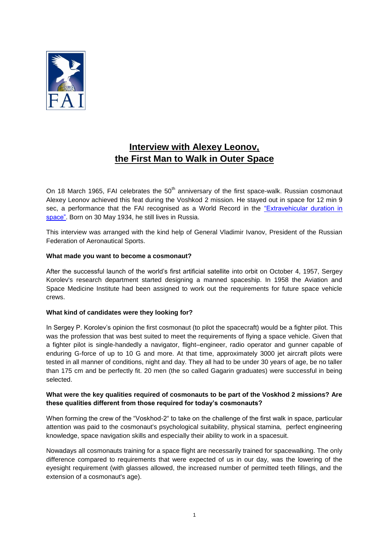

# **Interview with Alexey Leonov, the First Man to Walk in Outer Space**

On 18 March 1965, FAI celebrates the 50<sup>th</sup> anniversary of the first space-walk. Russian cosmonaut Alexey Leonov achieved this feat during the Voshkod 2 mission. He stayed out in space for 12 min 9 sec, a performance that the FAI recognised as a World Record in the ["Extravehicular duration in](http://www.fai.org/fai-record-file/?recordId=9336)  [space".](http://www.fai.org/fai-record-file/?recordId=9336) Born on 30 May 1934, he still lives in Russia.

This interview was arranged with the kind help of General Vladimir Ivanov, President of the Russian Federation of Aeronautical Sports.

# **What made you want to become a cosmonaut?**

After the successful launch of the world's first artificial satellite into orbit on October 4, 1957, Sergey Korolev's research department started designing a manned spaceship. In 1958 the Aviation and Space Medicine Institute had been assigned to work out the requirements for future space vehicle crews.

# **What kind of candidates were they looking for?**

In Sergey P. Korolev's opinion the first cosmonaut (to pilot the spacecraft) would be a fighter pilot. This was the profession that was best suited to meet the requirements of flying a space vehicle. Given that a fighter pilot is single-handedly a navigator, flight–engineer, radio operator and gunner capable of enduring G-force of up to 10 G and more. At that time, approximately 3000 jet aircraft pilots were tested in all manner of conditions, night and day. They all had to be under 30 years of age, be no taller than 175 cm and be perfectly fit. 20 men (the so called Gagarin graduates) were successful in being selected.

# **What were the key qualities required of cosmonauts to be part of the Voskhod 2 missions? Are these qualities different from those required for today's cosmonauts?**

When forming the crew of the "Voskhod-2" to take on the challenge of the first walk in space, particular attention was paid to the cosmonaut's psychological suitability, physical stamina, perfect engineering knowledge, space navigation skills and especially their ability to work in a spacesuit.

Nowadays all cosmonauts training for a space flight are necessarily trained for spacewalking. The only difference compared to requirements that were expected of us in our day, was the lowering of the eyesight requirement (with glasses allowed, the increased number of permitted teeth fillings, and the extension of a cosmonaut's age).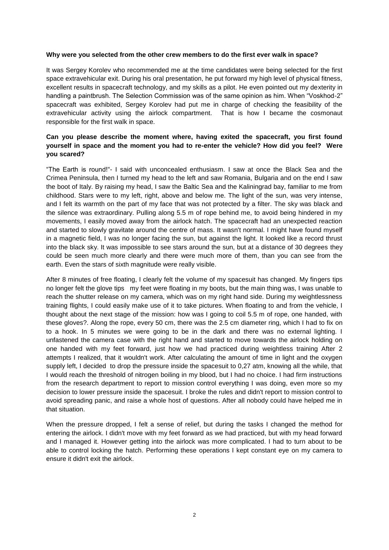#### **Why were you selected from the other crew members to do the first ever walk in space?**

It was Sergey Korolev who recommended me at the time candidates were being selected for the first space extravehicular exit. During his oral presentation, he put forward my high level of physical fitness, excellent results in spacecraft technology, and my skills as a pilot. He even pointed out my dexterity in handling a paintbrush. The Selection Commission was of the same opinion as him. When "Voskhod-2" spacecraft was exhibited, Sergey Korolev had put me in charge of checking the feasibility of the extravehicular activity using the airlock compartment. That is how I became the cosmonaut responsible for the first walk in space.

# **Can you please describe the moment where, having exited the spacecraft, you first found yourself in space and the moment you had to re-enter the vehicle? How did you feel? Were you scared?**

"The Earth is round!"- I said with unconcealed enthusiasm. I saw at once the Black Sea and the Crimea Peninsula, then I turned my head to the left and saw Romania, Bulgaria and on the end I saw the boot of Italy. By raising my head, I saw the Baltic Sea and the Kaliningrad bay, familiar to me from childhood. Stars were to my left, right, above and below me. The light of the sun, was very intense, and I felt its warmth on the part of my face that was not protected by a filter. The sky was black and the silence was extraordinary. Pulling along 5.5 m of rope behind me, to avoid being hindered in my movements, I easily moved away from the airlock hatch. The spacecraft had an unexpected reaction and started to slowly gravitate around the centre of mass. It wasn't normal. I might have found myself in a magnetic field, I was no longer facing the sun, but against the light. It looked like a record thrust into the black sky. It was impossible to see stars around the sun, but at a distance of 30 degrees they could be seen much more clearly and there were much more of them, than you can see from the earth. Even the stars of sixth magnitude were really visible.

After 8 minutes of free floating, I clearly felt the volume of my spacesuit has changed. My fingers tips no longer felt the glove tips my feet were floating in my boots, but the main thing was, I was unable to reach the shutter release on my camera, which was on my right hand side. During my weightlessness training flights, I could easily make use of it to take pictures. When floating to and from the vehicle, I thought about the next stage of the mission: how was I going to coil 5.5 m of rope, one handed, with these gloves?. Along the rope, every 50 cm, there was the 2.5 cm diameter ring, which I had to fix on to a hook. In 5 minutes we were going to be in the dark and there was no external lighting. I unfastened the camera case with the right hand and started to move towards the airlock holding on one handed with my feet forward, just how we had practiced during weightless training After 2 attempts I realized, that it wouldn't work. After calculating the amount of time in light and the oxygen supply left, I decided to drop the pressure inside the spacesuit to 0,27 atm, knowing all the while, that I would reach the threshold of nitrogen boiling in my blood, but I had no choice. I had firm instructions from the research department to report to mission control everything I was doing, even more so my decision to lower pressure inside the spacesuit. I broke the rules and didn't report to mission control to avoid spreading panic, and raise a whole host of questions. After all nobody could have helped me in that situation.

When the pressure dropped, I felt a sense of relief, but during the tasks I changed the method for entering the airlock. I didn't move with my feet forward as we had practiced, but with my head forward and I managed it. However getting into the airlock was more complicated. I had to turn about to be able to control locking the hatch. Performing these operations I kept constant eye on my camera to ensure it didn't exit the airlock.